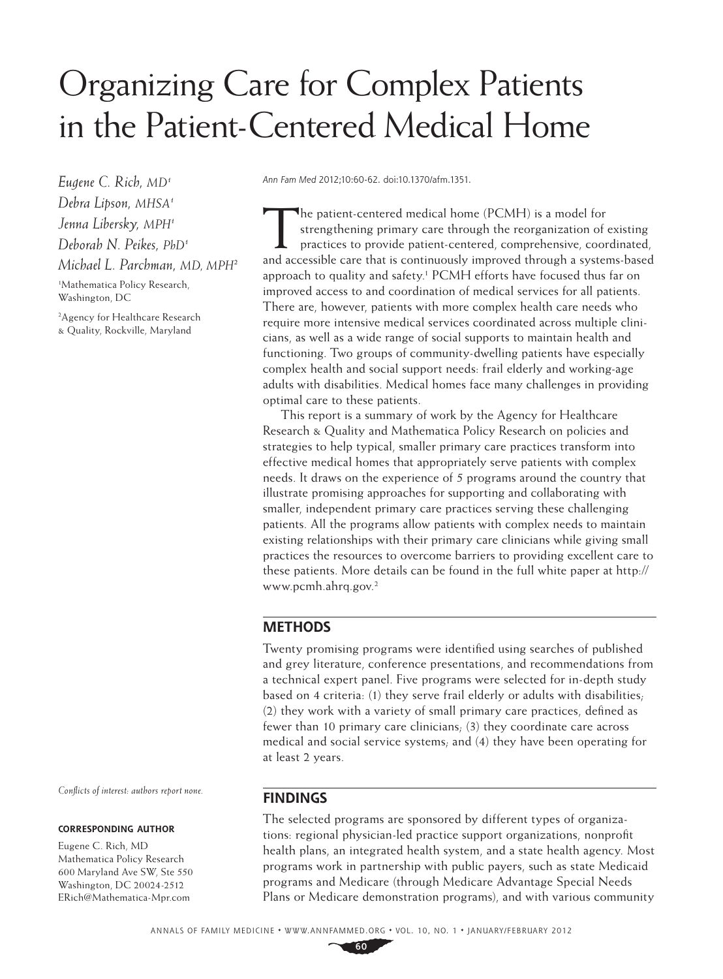## Organizing Care for Complex Patients in the Patient-Centered Medical Home

*Eugene C. Rich, MD1 Debra Lipson, MHSA1 Jenna Libersky, MPH1 Deborah N. Peikes, PhD1 Michael L. Parchman, MD, MPH2* 1 Mathematica Policy Research, Washington, DC

2 Agency for Healthcare Research & Quality, Rockville, Maryland

*Conflicts of interest: authors report none.*

#### **CORRESPONDING AUTHOR**

Eugene C. Rich, MD Mathematica Policy Research 600 Maryland Ave SW, Ste 550 Washington, DC 20024-2512 ERich@Mathematica-Mpr.com

*Ann Fam Med* 2012;10:60-62. doi:10.1370/afm.1351.

The patient-centered medical home (PCMH) is a model for strengthening primary care through the reorganization of existing practices to provide patient-centered, comprehensive, coordinated, and accessible care that is continuously improved through a systems-based approach to quality and safety.<sup>1</sup> PCMH efforts have focused thus far on improved access to and coordination of medical services for all patients. There are, however, patients with more complex health care needs who require more intensive medical services coordinated across multiple clinicians, as well as a wide range of social supports to maintain health and functioning. Two groups of community-dwelling patients have especially complex health and social support needs: frail elderly and working-age adults with disabilities. Medical homes face many challenges in providing optimal care to these patients.

This report is a summary of work by the Agency for Healthcare Research & Quality and Mathematica Policy Research on policies and strategies to help typical, smaller primary care practices transform into effective medical homes that appropriately serve patients with complex needs. It draws on the experience of 5 programs around the country that illustrate promising approaches for supporting and collaborating with smaller, independent primary care practices serving these challenging patients. All the programs allow patients with complex needs to maintain existing relationships with their primary care clinicians while giving small practices the resources to overcome barriers to providing excellent care to these patients. More details can be found in the full white paper at [http://](http://pcmh.ahrq.gov/portal/server.pt/community/pcmh__home/1483/pcmh_tools___resources_coordinated_care_v2) [www.pcmh.ahrq.gov.](http://pcmh.ahrq.gov/portal/server.pt/community/pcmh__home/1483/pcmh_tools___resources_coordinated_care_v2)2

#### **METHODS**

Twenty promising programs were identified using searches of published and grey literature, conference presentations, and recommendations from a technical expert panel. Five programs were selected for in-depth study based on 4 criteria: (1) they serve frail elderly or adults with disabilities; (2) they work with a variety of small primary care practices, defined as fewer than 10 primary care clinicians; (3) they coordinate care across medical and social service systems; and (4) they have been operating for at least 2 years.

#### **FINDINGS**

The selected programs are sponsored by different types of organizations: regional physician-led practice support organizations, nonprofit health plans, an integrated health system, and a state health agency. Most programs work in partnership with public payers, such as state Medicaid programs and Medicare (through Medicare Advantage Special Needs Plans or Medicare demonstration programs), and with various community

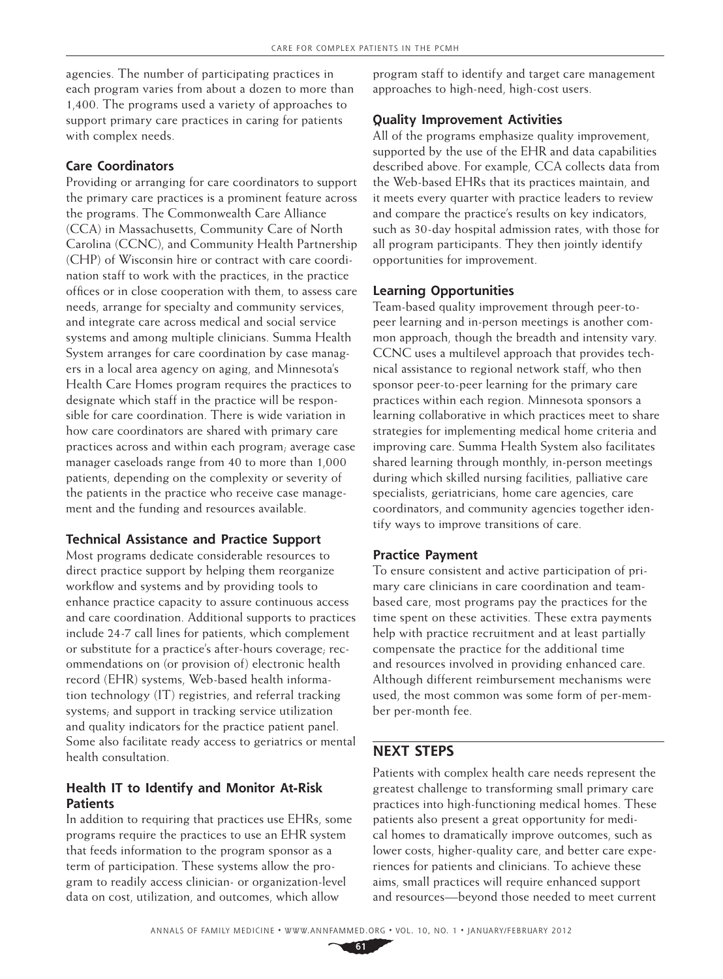agencies. The number of participating practices in each program varies from about a dozen to more than 1,400. The programs used a variety of approaches to support primary care practices in caring for patients with complex needs.

#### **Care Coordinators**

Providing or arranging for care coordinators to support the primary care practices is a prominent feature across the programs. The Commonwealth Care Alliance (CCA) in Massachusetts, Community Care of North Carolina (CCNC), and Community Health Partnership (CHP) of Wisconsin hire or contract with care coordination staff to work with the practices, in the practice offices or in close cooperation with them, to assess care needs, arrange for specialty and community services, and integrate care across medical and social service systems and among multiple clinicians. Summa Health System arranges for care coordination by case managers in a local area agency on aging, and Minnesota's Health Care Homes program requires the practices to designate which staff in the practice will be responsible for care coordination. There is wide variation in how care coordinators are shared with primary care practices across and within each program; average case manager caseloads range from 40 to more than 1,000 patients, depending on the complexity or severity of the patients in the practice who receive case management and the funding and resources available.

#### **Technical Assistance and Practice Support**

Most programs dedicate considerable resources to direct practice support by helping them reorganize workflow and systems and by providing tools to enhance practice capacity to assure continuous access and care coordination. Additional supports to practices include 24-7 call lines for patients, which complement or substitute for a practice's after-hours coverage; recommendations on (or provision of) electronic health record (EHR) systems, Web-based health information technology (IT) registries, and referral tracking systems; and support in tracking service utilization and quality indicators for the practice patient panel. Some also facilitate ready access to geriatrics or mental health consultation.

#### **Health IT to Identify and Monitor At-Risk Patients**

In addition to requiring that practices use EHRs, some programs require the practices to use an EHR system that feeds information to the program sponsor as a term of participation. These systems allow the program to readily access clinician- or organization-level data on cost, utilization, and outcomes, which allow

program staff to identify and target care management approaches to high-need, high-cost users.

#### **Quality Improvement Activities**

All of the programs emphasize quality improvement, supported by the use of the EHR and data capabilities described above. For example, CCA collects data from the Web-based EHRs that its practices maintain, and it meets every quarter with practice leaders to review and compare the practice's results on key indicators, such as 30-day hospital admission rates, with those for all program participants. They then jointly identify opportunities for improvement.

#### **Learning Opportunities**

Team-based quality improvement through peer-topeer learning and in-person meetings is another common approach, though the breadth and intensity vary. CCNC uses a multilevel approach that provides technical assistance to regional network staff, who then sponsor peer-to-peer learning for the primary care practices within each region. Minnesota sponsors a learning collaborative in which practices meet to share strategies for implementing medical home criteria and improving care. Summa Health System also facilitates shared learning through monthly, in-person meetings during which skilled nursing facilities, palliative care specialists, geriatricians, home care agencies, care coordinators, and community agencies together identify ways to improve transitions of care.

#### **Practice Payment**

To ensure consistent and active participation of primary care clinicians in care coordination and teambased care, most programs pay the practices for the time spent on these activities. These extra payments help with practice recruitment and at least partially compensate the practice for the additional time and resources involved in providing enhanced care. Although different reimbursement mechanisms were used, the most common was some form of per-member per-month fee.

### **NEXT STEPS**

Patients with complex health care needs represent the greatest challenge to transforming small primary care practices into high-functioning medical homes. These patients also present a great opportunity for medical homes to dramatically improve outcomes, such as lower costs, higher-quality care, and better care experiences for patients and clinicians. To achieve these aims, small practices will require enhanced support and resources—beyond those needed to meet current